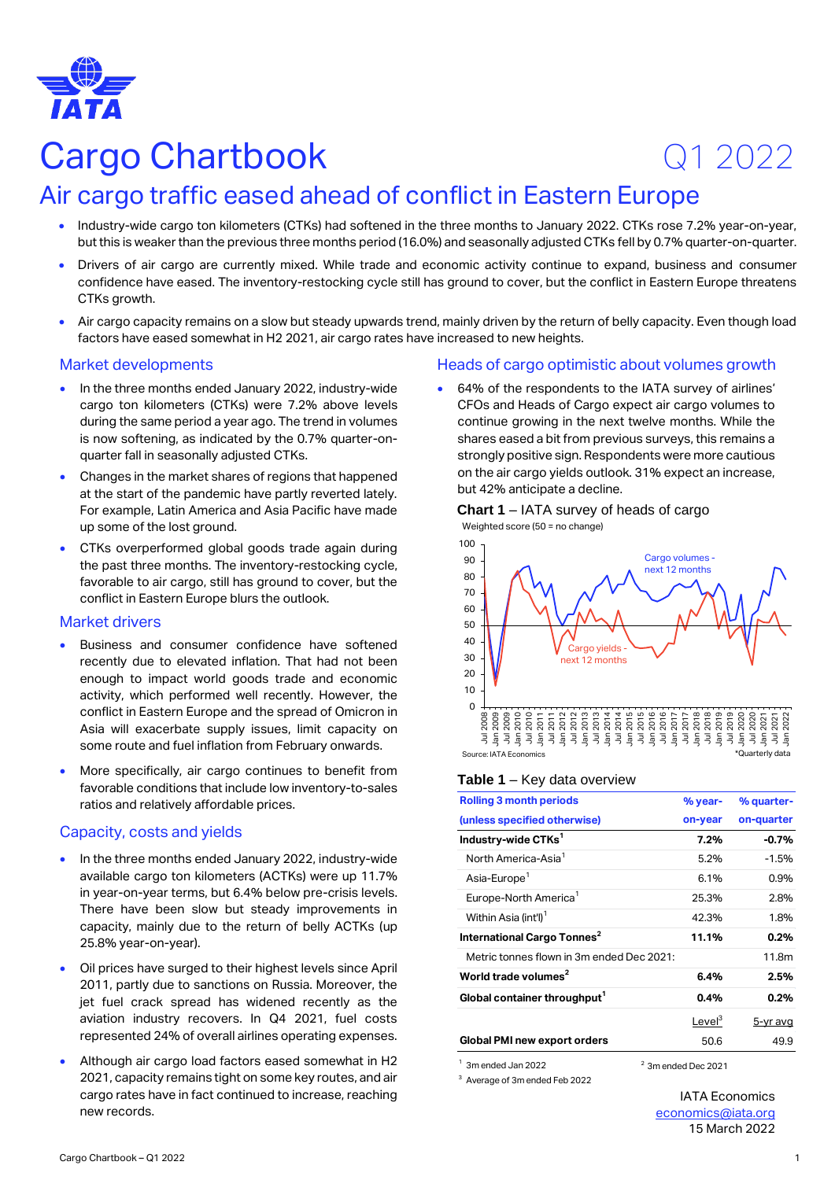

# Cargo Chartbook Q1 2022

## Air cargo traffic eased ahead of conflict in Eastern Europe

- Industry-wide cargo ton kilometers (CTKs) had softened in the three months to January 2022. CTKs rose 7.2% year-on-year, but this is weaker than the previous three months period (16.0%) and seasonally adjusted CTKs fell by 0.7% quarter-on-quarter.
- Drivers of air cargo are currently mixed. While trade and economic activity continue to expand, business and consumer confidence have eased. The inventory-restocking cycle still has ground to cover, but the conflict in Eastern Europe threatens CTKs growth.
- Air cargo capacity remains on a slow but steady upwards trend, mainly driven by the return of belly capacity. Even though load factors have eased somewhat in H2 2021, air cargo rates have increased to new heights.

#### Market developments

- In the three months ended January 2022, industry-wide cargo ton kilometers (CTKs) were 7.2% above levels during the same period a year ago. The trend in volumes is now softening, as indicated by the 0.7% quarter-onquarter fall in seasonally adjusted CTKs.
- Changes in the market shares of regions that happened at the start of the pandemic have partly reverted lately. For example, Latin America and Asia Pacific have made up some of the lost ground.
- CTKs overperformed global goods trade again during the past three months. The inventory-restocking cycle, favorable to air cargo, still has ground to cover, but the conflict in Eastern Europe blurs the outlook.

## Market drivers

- Business and consumer confidence have softened recently due to elevated inflation. That had not been enough to impact world goods trade and economic activity, which performed well recently. However, the conflict in Eastern Europe and the spread of Omicron in Asia will exacerbate supply issues, limit capacity on some route and fuel inflation from February onwards.
- More specifically, air cargo continues to benefit from favorable conditions that include low inventory-to-sales ratios and relatively affordable prices.

#### Capacity, costs and yields

- In the three months ended January 2022, industry-wide available cargo ton kilometers (ACTKs) were up 11.7% in year-on-year terms, but 6.4% below pre-crisis levels. There have been slow but steady improvements in capacity, mainly due to the return of belly ACTKs (up 25.8% year-on-year).
- Oil prices have surged to their highest levels since April 2011, partly due to sanctions on Russia. Moreover, the jet fuel crack spread has widened recently as the aviation industry recovers. In Q4 2021, fuel costs represented 24% of overall airlines operating expenses.
- Although air cargo load factors eased somewhat in H2 2021, capacity remains tight on some key routes, and air cargo rates have in fact continued to increase, reaching new records.

## Heads of cargo optimistic about volumes growth

• 64% of the respondents to the IATA survey of airlines' CFOs and Heads of Cargo expect air cargo volumes to continue growing in the next twelve months. While the shares eased a bit from previous surveys, this remains a strongly positive sign. Respondents were more cautious on the air cargo yields outlook. 31% expect an increase, but 42% anticipate a decline.

**Chart 1** – IATA survey of heads of cargo



#### **Table 1** – Key data overview

| <b>Rolling 3 month periods</b>            | % year-            | % quarter- |
|-------------------------------------------|--------------------|------------|
| (unless specified otherwise)              | on-year            | on-quarter |
| Industry-wide CTKs <sup>1</sup>           | 7.2%               | $-0.7%$    |
| North America-Asia <sup>1</sup>           | 5.2%               | $-1.5%$    |
| Asia-Europe <sup>1</sup>                  | 6.1%               | $0.9\%$    |
| Europe-North America <sup>1</sup>         | 25.3%              | 2.8%       |
| Within Asia (int'l) <sup>1</sup>          | 42.3%              | 1.8%       |
| International Cargo Tonnes <sup>2</sup>   | 11.1%              | 0.2%       |
| Metric tonnes flown in 3m ended Dec 2021: |                    | 11.8m      |
| World trade volumes <sup>2</sup>          | 6.4%               | 2.5%       |
| Global container throughput <sup>1</sup>  | 0.4%               | 0.2%       |
|                                           | Level <sup>3</sup> | 5-yr avg   |
| Global PMI new export orders              | 50.6               | 49.9       |

 $^{1}$  3m ended Jan 2022  $^{2}$  3m ended Dec 2021

<sup>3</sup> Average of 3m ended Feb 2022

IATA Economics [economics@iata.org](mailto:economics@iata.org) 15 March 2022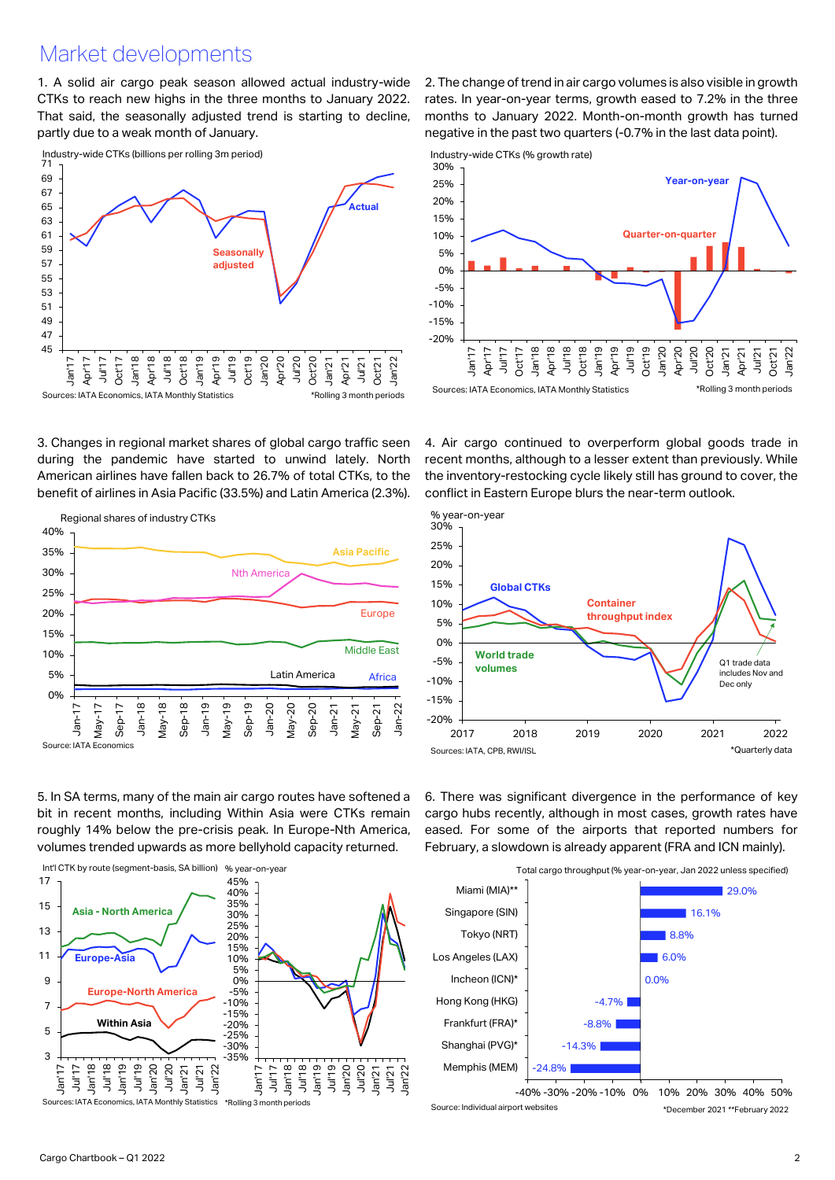## Market developments

1. A solid air cargo peak season allowed actual industry-wide CTKs to reach new highs in the three months to January 2022. That said, the seasonally adjusted trend is starting to decline, partly due to a weak month of January.



3. Changes in regional market shares of global cargo traffic seen during the pandemic have started to unwind lately. North American airlines have fallen back to 26.7% of total CTKs, to the benefit of airlines in Asia Pacific (33.5%) and Latin America (2.3%).



5. In SA terms, many of the main air cargo routes have softened a bit in recent months, including Within Asia were CTKs remain roughly 14% below the pre-crisis peak. In Europe-Nth America, volumes trended upwards as more bellyhold capacity returned.



2. The change of trend in air cargo volumes is also visible in growth rates. In year-on-year terms, growth eased to 7.2% in the three months to January 2022. Month-on-month growth has turned negative in the past two quarters (-0.7% in the last data point).





4. Air cargo continued to overperform global goods trade in recent months, although to a lesser extent than previously. While the inventory-restocking cycle likely still has ground to cover, the conflict in Eastern Europe blurs the near-term outlook.



6. There was significant divergence in the performance of key cargo hubs recently, although in most cases, growth rates have eased. For some of the airports that reported numbers for February, a slowdown is already apparent (FRA and ICN mainly).



Source: Individual airport websites \*December 2021 \*\*February 2022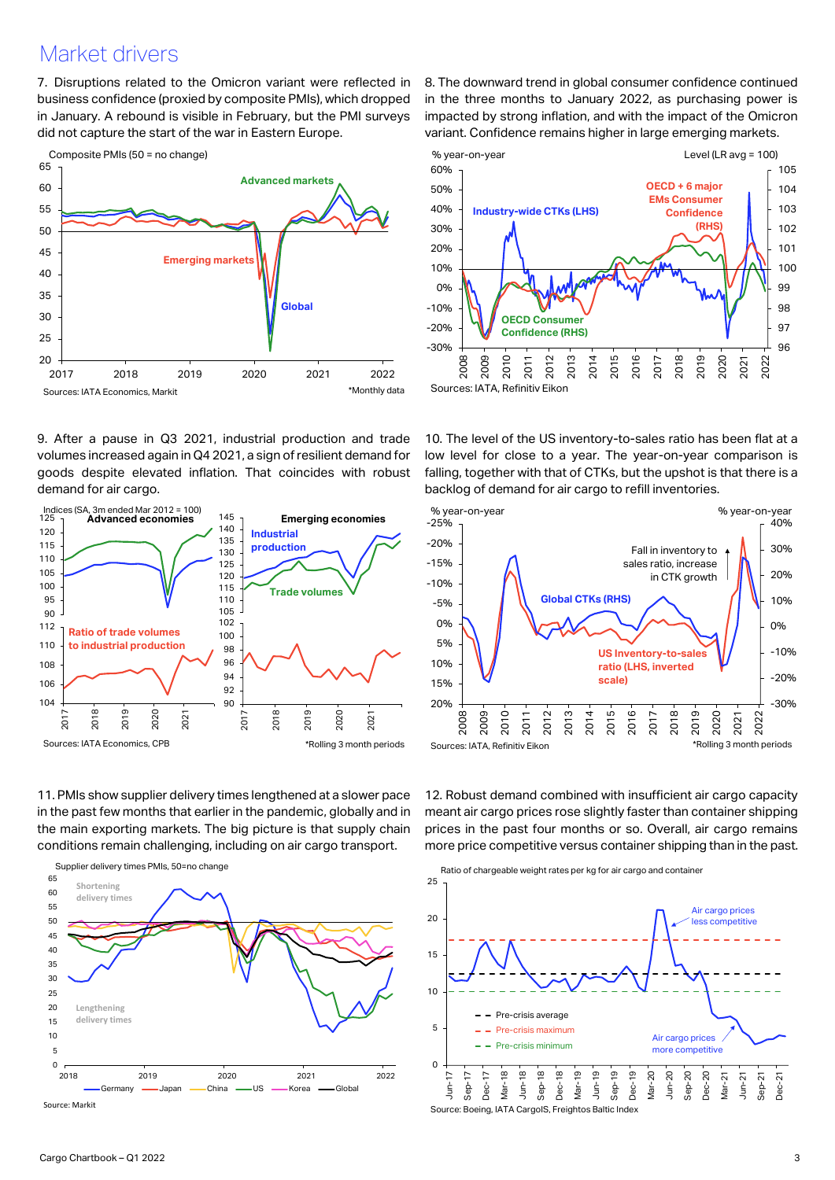## Market drivers

7. Disruptions related to the Omicron variant were reflected in business confidence (proxied by composite PMIs), which dropped in January. A rebound is visible in February, but the PMI surveys did not capture the start of the war in Eastern Europe.



9. After a pause in Q3 2021, industrial production and trade volumes increased again in Q4 2021, a sign of resilient demand for goods despite elevated inflation. That coincides with robust demand for air cargo.



11. PMIs show supplier delivery times lengthened at a slower pace in the past few months that earlier in the pandemic, globally and in the main exporting markets. The big picture is that supply chain conditions remain challenging, including on air cargo transport.



8. The downward trend in global consumer confidence continued in the three months to January 2022, as purchasing power is impacted by strong inflation, and with the impact of the Omicron variant. Confidence remains higher in large emerging markets.



10. The level of the US inventory-to-sales ratio has been flat at a low level for close to a year. The year-on-year comparison is falling, together with that of CTKs, but the upshot is that there is a backlog of demand for air cargo to refill inventories.



12. Robust demand combined with insufficient air cargo capacity meant air cargo prices rose slightly faster than container shipping prices in the past four months or so. Overall, air cargo remains more price competitive versus container shipping than in the past.



Source: Boeing, IATA CargoIS, Freightos Baltic Index